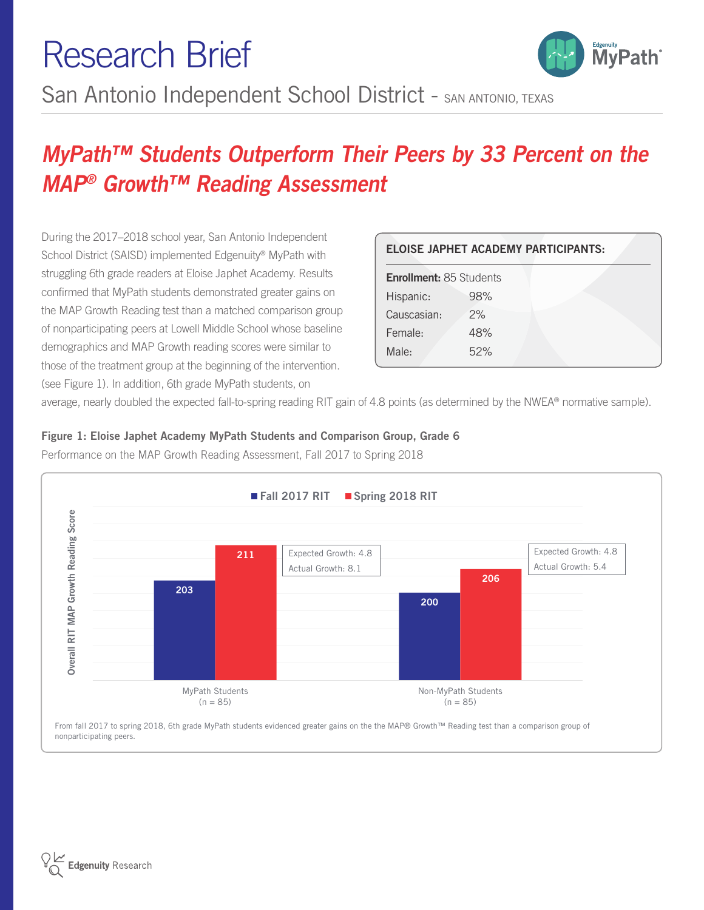## MyPath™ Students Outperform Their Peers by 33 Percent on the MAP® Growth™ Reading Assessment

During the 2017–2018 school year, San Antonio Independent School District (SAISD) implemented Edgenuity® MyPath with struggling 6th grade readers at Eloise Japhet Academy. Results confirmed that MyPath students demonstrated greater gains on the MAP Growth Reading test than a matched comparison group of nonparticipating peers at Lowell Middle School whose baseline demographics and MAP Growth reading scores were similar to those of the treatment group at the beginning of the intervention. (see Figure 1). In addition, 6th grade MyPath students, on

| <b>ELOISE JAPHET ACADEMY PARTICIPANTS:</b> |     |  |
|--------------------------------------------|-----|--|
| <b>Enrollment: 85 Students</b>             |     |  |
| Hispanic:                                  | 98% |  |
| Causcasian:                                | 2%  |  |
| Female:                                    | 48% |  |
| Male:                                      | 52% |  |
|                                            |     |  |

<sub>Edgenuity</sub><br>MvPath

average, nearly doubled the expected fall-to-spring reading RIT gain of 4.8 points (as determined by the NWEA® normative sample).

Figure 1: Eloise Japhet Academy MyPath Students and Comparison Group, Grade 6 Performance on the MAP Growth Reading Assessment, Fall 2017 to Spring 2018